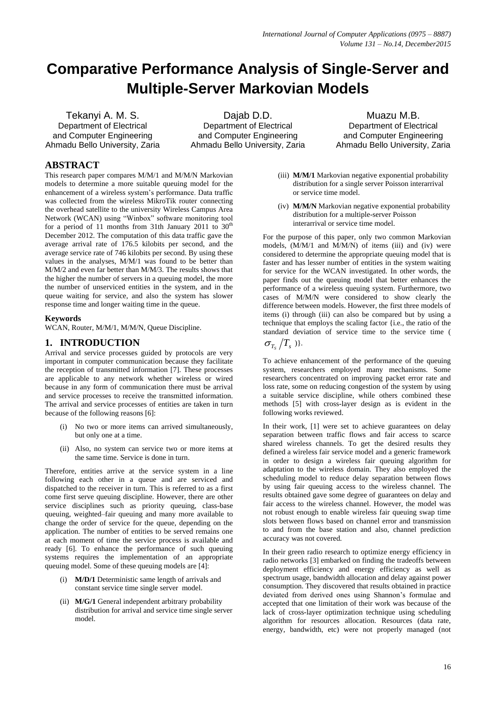# **Comparative Performance Analysis of Single-Server and Multiple-Server Markovian Models**

Tekanyi A. M. S. Department of Electrical and Computer Engineering Ahmadu Bello University, Zaria

Dajab D.D. Department of Electrical and Computer Engineering Ahmadu Bello University, Zaria

Muazu M.B. Department of Electrical and Computer Engineering Ahmadu Bello University, Zaria

## **ABSTRACT**

This research paper compares M/M/1 and M/M/N Markovian models to determine a more suitable queuing model for the enhancement of a wireless system's performance. Data traffic was collected from the wireless MikroTik router connecting the overhead satellite to the university Wireless Campus Area Network (WCAN) using "Winbox" software monitoring tool for a period of 11 months from 31th January 2011 to  $30<sup>th</sup>$ December 2012. The computation of this data traffic gave the average arrival rate of 176.5 kilobits per second, and the average service rate of 746 kilobits per second. By using these values in the analyses, M/M/1 was found to be better than M/M/2 and even far better than M/M/3. The results shows that the higher the number of servers in a queuing model, the more the number of unserviced entities in the system, and in the queue waiting for service, and also the system has slower response time and longer waiting time in the queue.

#### **Keywords**

WCAN, Router, M/M/1, M/M/N, Queue Discipline.

## **1. INTRODUCTION**

Arrival and service processes guided by protocols are very important in computer communication because they facilitate the reception of transmitted information [7]. These processes are applicable to any network whether wireless or wired because in any form of communication there must be arrival and service processes to receive the transmitted information. The arrival and service processes of entities are taken in turn because of the following reasons [6]:

- (i) No two or more items can arrived simultaneously, but only one at a time.
- (ii) Also, no system can service two or more items at the same time. Service is done in turn.

Therefore, entities arrive at the service system in a line following each other in a queue and are serviced and dispatched to the receiver in turn. This is referred to as a first come first serve queuing discipline. However, there are other service disciplines such as priority queuing, class-base queuing, weighted–fair queuing and many more available to change the order of service for the queue, depending on the application. The number of entities to be served remains one at each moment of time the service process is available and ready [6]. To enhance the performance of such queuing systems requires the implementation of an appropriate queuing model. Some of these queuing models are [4]:

- (i) **M/D/1** Deterministic same length of arrivals and constant service time single server model.
- (ii) **M/G/1** General independent arbitrary probability distribution for arrival and service time single server model.
- (iii) **M/M/1** Markovian negative exponential probability distribution for a single server Poisson interarrival or service time model.
- (iv) **M/M/N** Markovian negative exponential probability distribution for a multiple-server Poisson interarrival or service time model.

For the purpose of this paper, only two common Markovian models, (M/M/1 and M/M/N) of items (iii) and (iv) were considered to determine the appropriate queuing model that is faster and has lesser number of entities in the system waiting for service for the WCAN investigated. In other words, the paper finds out the queuing model that better enhances the performance of a wireless queuing system. Furthermore, two cases of M/M/N were considered to show clearly the difference between models. However, the first three models of items (i) through (iii) can also be compared but by using a technique that employs the scaling factor {i.e., the ratio of the standard deviation of service time to the service time (

 $\sigma_{_{T_{s}}}/T_{_{s}}$  )}.

To achieve enhancement of the performance of the queuing system, researchers employed many mechanisms. Some researchers concentrated on improving packet error rate and loss rate, some on reducing congestion of the system by using a suitable service discipline, while others combined these methods [5] with cross-layer design as is evident in the following works reviewed.

In their work, [1] were set to achieve guarantees on delay separation between traffic flows and fair access to scarce shared wireless channels. To get the desired results they defined a wireless fair service model and a generic framework in order to design a wireless fair queuing algorithm for adaptation to the wireless domain. They also employed the scheduling model to reduce delay separation between flows by using fair queuing access to the wireless channel. The results obtained gave some degree of guarantees on delay and fair access to the wireless channel. However, the model was not robust enough to enable wireless fair queuing swap time slots between flows based on channel error and transmission to and from the base station and also, channel prediction accuracy was not covered.

In their green radio research to optimize energy efficiency in radio networks [3] embarked on finding the tradeoffs between deployment efficiency and energy efficiency as well as spectrum usage, bandwidth allocation and delay against power consumption. They discovered that results obtained in practice deviated from derived ones using Shannon's formulae and accepted that one limitation of their work was because of the lack of cross-layer optimization technique using scheduling algorithm for resources allocation. Resources (data rate, energy, bandwidth, etc) were not properly managed (not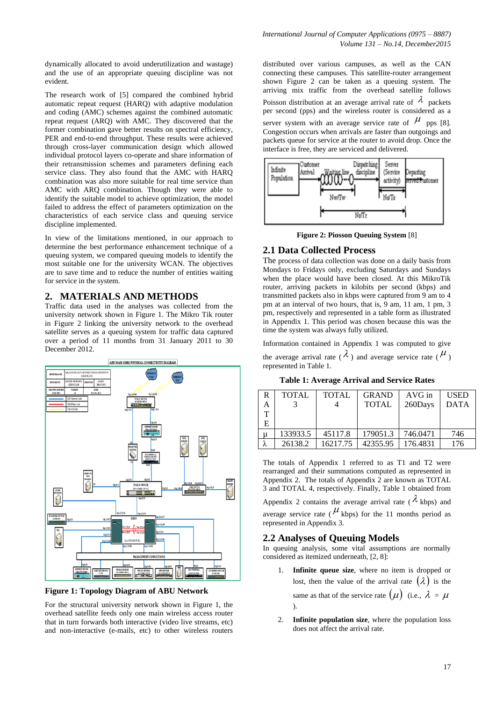dynamically allocated to avoid underutilization and wastage) and the use of an appropriate queuing discipline was not evident.

The research work of [5] compared the combined hybrid automatic repeat request (HARQ) with adaptive modulation and coding (AMC) schemes against the combined automatic repeat request (ARQ) with AMC. They discovered that the former combination gave better results on spectral efficiency, PER and end-to-end throughput. These results were achieved through cross-layer communication design which allowed individual protocol layers co-operate and share information of their retransmission schemes and parameters defining each service class. They also found that the AMC with HARQ combination was also more suitable for real time service than AMC with ARQ combination. Though they were able to identify the suitable model to achieve optimization, the model failed to address the effect of parameters optimization on the characteristics of each service class and queuing service discipline implemented.

In view of the limitations mentioned, in our approach to determine the best performance enhancement technique of a queuing system, we compared queuing models to identify the most suitable one for the university WCAN. The objectives are to save time and to reduce the number of entities waiting for service in the system.

#### **2. MATERIALS AND METHODS**

Traffic data used in the analyses was collected from the university network shown in Figure 1. The Mikro Tik router in Figure 2 linking the university network to the overhead satellite serves as a queuing system for traffic data captured over a period of 11 months from 31 January 2011 to 30 December 2012.



**Figure 1: Topology Diagram of ABU Network**

For the structural university network shown in Figure 1, the overhead satellite feeds only one main wireless access router that in turn forwards both interactive (video live streams, etc) and non-interactive (e-mails, etc) to other wireless routers

*International Journal of Computer Applications (0975 – 8887) Volume 131 – No.14, December2015*

distributed over various campuses, as well as the CAN connecting these campuses. This satellite-router arrangement shown Figure 2 can be taken as a queuing system. The arriving mix traffic from the overhead satellite follows Poisson distribution at an average arrival rate of  $\lambda$  packets per second (pps) and the wireless router is considered as a server system with an average service rate of  $\mu$  pps [8]. Congestion occurs when arrivals are faster than outgoings and packets queue for service at the router to avoid drop. Once the interface is free, they are serviced and delivered.



**Figure 2: Piosson Queuing System** [8]

## **2.1 Data Collected Process**

The process of data collection was done on a daily basis from Mondays to Fridays only, excluding Saturdays and Sundays when the place would have been closed. At this MikroTik router, arriving packets in kilobits per second (kbps) and transmitted packets also in kbps were captured from 9 am to 4 pm at an interval of two hours, that is, 9 am, 11 am, 1 pm, 3 pm, respectively and represented in a table form as illustrated in Appendix 1. This period was chosen because this was the time the system was always fully utilized.

Information contained in Appendix 1 was computed to give the average arrival rate ( $\lambda$ ) and average service rate ( $\mu$ ) represented in Table 1.

**Table 1: Average Arrival and Service Rates**

| R<br>A<br>т | <b>TOTAL</b> | <b>TOTAL</b> | <b>GRAND</b><br><b>TOTAL</b> | $AVG$ in<br>260Days | <b>USED</b><br><b>DATA</b> |
|-------------|--------------|--------------|------------------------------|---------------------|----------------------------|
| Е           |              |              |                              |                     |                            |
|             | 133933.5     | 45117.8      | 179051.3                     | 746.0471            | 746                        |
|             | 26138.2      | 16217.75     | 42355.95                     | 176.4831            | 176                        |

The totals of Appendix 1 referred to as T1 and T2 were rearranged and their summations computed as represented in Appendix 2. The totals of Appendix 2 are known as TOTAL 3 and TOTAL 4, respectively. Finally, Table 1 obtained from

Appendix 2 contains the average arrival rate ( $\lambda$  kbps) and average service rate ( $\mu$  kbps) for the 11 months period as represented in Appendix 3.

#### **2.2 Analyses of Queuing Models**

In queuing analysis, some vital assumptions are normally considered as itemized underneath, [2, 8]:

- 1. **Infinite queue size**, where no item is dropped or lost, then the value of the arrival rate  $(\lambda)$  is the same as that of the service rate  $(\mu)$  (i.e.,  $\lambda = \mu$ ).
- 2. **Infinite population size**, where the population loss does not affect the arrival rate.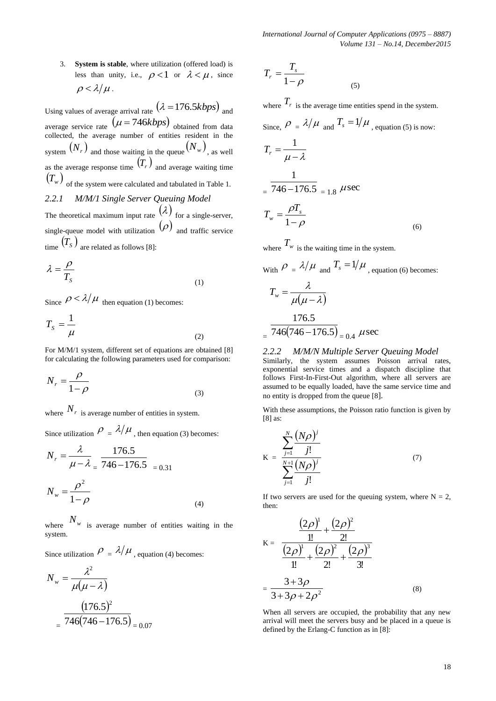3. **System is stable**, where utilization (offered load) is less than unity, i.e.,  $\rho < 1$  or  $\lambda < \mu$ , since  $\rho < \lambda/\mu$ .

Using values of average arrival rate  $(\lambda = 176.5kbps)$  and average service rate  $(\mu = 746kbps)$  obtained from data collected, the average number of entities resident in the system  $(N_r)$  and those waiting in the queue  $(N_w)$ , as well as the average response time  $(T<sub>r</sub>)$  and average waiting time  $\left(T_{_{\mathit{W}}}\right)$  <sub>of the system were calculated and tabulated in Table 1.</sub> *2.2.1 M/M/1 Single Server Queuing Model* The theoretical maximum input rate  $(\lambda)$  for a single-server, single-queue model with utilization  $(\rho)$  and traffic service  $\binom{m}{s}$  are related as follows [8]:

$$
\lambda = \frac{\rho}{T_s} \tag{1}
$$

Since  $\rho < \lambda/\mu$  then equation (1) becomes:

$$
T_S = \frac{1}{\mu} \tag{2}
$$

For M/M/1 system, different set of equations are obtained [8] for calculating the following parameters used for comparison:

$$
N_r = \frac{\rho}{1 - \rho} \tag{3}
$$

where  $N_r$  is average number of entities in system.

Since utilization  $\rho = \lambda / \mu$ , then equation (3) becomes:

$$
N_r = \frac{\lambda}{\mu - \lambda} = \frac{176.5}{746 - 176.5} = 0.31
$$
  

$$
N_w = \frac{\rho^2}{1 - \rho}
$$
 (4)

where  $N_w$  is average number of entities waiting in the system.

Since utilization  $\rho = \lambda / \mu$ , equation (4) becomes:

$$
N_w = \frac{\lambda^2}{\mu(\mu - \lambda)}
$$

$$
= \frac{(176.5)^2}{746(746 - 176.5)} = 0.07
$$

$$
T_r = \frac{T_s}{1 - \rho} \tag{5}
$$

where  $T_r$  is the average time entities spend in the system.

Since, 
$$
\rho = \lambda/\mu
$$
 and  $T_s = 1/\mu$ , equation (5) is now:  
\n
$$
T_r = \frac{1}{\mu - \lambda}
$$
\n
$$
= \frac{1}{746 - 176.5} = 1.8 \ \mu \sec
$$
\n
$$
T_w = \frac{\rho T_s}{1 - \rho}
$$
\n(6)

where  $T_w$  is the waiting time in the system.

$$
\text{With } \rho = \lambda / \mu \text{ and } T_s = 1 / \mu \text{, equation (6) becomes:}
$$
\n
$$
T_w = \frac{\lambda}{\mu(\mu - \lambda)}
$$
\n
$$
= \frac{176.5}{746(746 - 176.5)} = 0.4 \text{ } \mu \text{sec}
$$

#### *2.2.2 M/M/N Multiple Server Queuing Model* Similarly, the system assumes Poisson arrival rates, exponential service times and a dispatch discipline that follows First-In-First-Out algorithm, where all servers are assumed to be equally loaded, have the same service time and no entity is dropped from the queue [8].

With these assumptions, the Poisson ratio function is given by [8] as:

$$
K = \frac{\sum_{j=1}^{N} \frac{(N\rho)^j}{j!}}{\sum_{j=1}^{N+1} \frac{(N\rho)^j}{j!}}
$$
(7)

If two servers are used for the queuing system, where  $N = 2$ , then:

$$
K = \frac{\frac{(2\rho)^{1}}{1!} + \frac{(2\rho)^{2}}{2!}}{\frac{(2\rho)^{1}}{1!} + \frac{(2\rho)^{2}}{2!} + \frac{(2\rho)^{3}}{3!}}
$$

$$
= \frac{3 + 3\rho}{3 + 3\rho + 2\rho^{2}}
$$
(8)

When all servers are occupied, the probability that any new arrival will meet the servers busy and be placed in a queue is defined by the Erlang-C function as in [8]: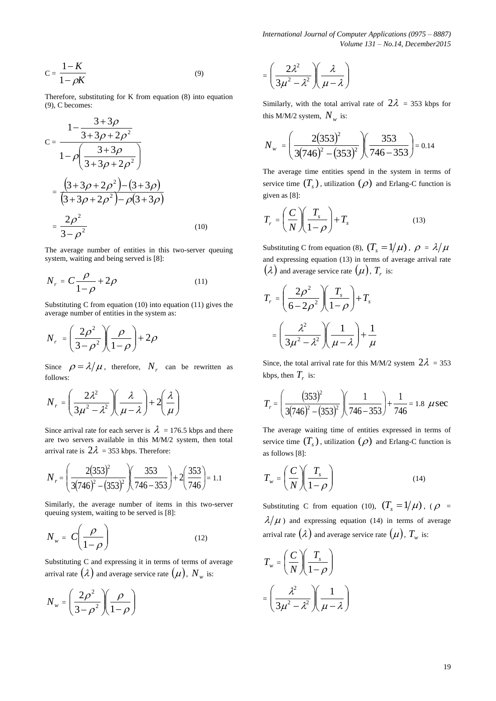*International Journal of Computer Applications (0975 – 8887) Volume 131 – No.14, December2015*

$$
C = \frac{1 - K}{1 - \rho K} \tag{9}
$$

Therefore, substituting for K from equation (8) into equation (9), C becomes:

$$
C = \frac{1 - \frac{3 + 3\rho}{3 + 3\rho + 2\rho^2}}{1 - \rho \left(\frac{3 + 3\rho}{3 + 3\rho + 2\rho^2}\right)}
$$
  
= 
$$
\frac{\left(3 + 3\rho + 2\rho^2\right) - \left(3 + 3\rho\right)}{\left(3 + 3\rho + 2\rho^2\right) - \rho\left(3 + 3\rho\right)}
$$
  
= 
$$
\frac{2\rho^2}{3 - \rho^2}
$$
(10)

The average number of entities in this two-server queuing system, waiting and being served is [8]:

$$
N_r = C \frac{\rho}{1 - \rho} + 2\rho \tag{11}
$$

Substituting C from equation (10) into equation (11) gives the average number of entities in the system as:

$$
N_r = \left(\frac{2\rho^2}{3-\rho^2}\right)\left(\frac{\rho}{1-\rho}\right) + 2\rho
$$

Since  $\rho = \lambda / \mu$ , therefore,  $N_r$  can be rewritten as follows:

$$
N_r = \left(\frac{2\lambda^2}{3\mu^2 - \lambda^2}\right)\left(\frac{\lambda}{\mu - \lambda}\right) + 2\left(\frac{\lambda}{\mu}\right)
$$

Since arrival rate for each server is  $\lambda = 176.5$  kbps and there are two servers available in this M/M/2 system, then total arrival rate is  $2\lambda = 353$  kbps. Therefore:

$$
N_r = \left(\frac{2(353)^2}{3(746)^2 - (353)^2}\right) \left(\frac{353}{746 - 353}\right) + 2\left(\frac{353}{746}\right) = 1.1
$$

Similarly, the average number of items in this two-server queuing system, waiting to be served is [8]:

$$
N_w = C \left( \frac{\rho}{1 - \rho} \right) \tag{12}
$$

Substituting C and expressing it in terms of terms of average arrival rate  $(\lambda)$  and average service rate  $(\mu)$ ,  $N_{_W}$  is:

$$
N_w = \left(\frac{2\rho^2}{3-\rho^2}\right)\left(\frac{\rho}{1-\rho}\right)
$$

$$
= \left(\frac{2\lambda^2}{3\mu^2 - \lambda^2}\right)\left(\frac{\lambda}{\mu - \lambda}\right)
$$

Similarly, with the total arrival rate of  $2\lambda = 353$  kbps for this M/M/2 system,  $N_w$  is:

$$
N_{w} = \left(\frac{2(353)^{2}}{3(746)^{2} - (353)^{2}}\right)\left(\frac{353}{746 - 353}\right) = 0.14
$$

The average time entities spend in the system in terms of service time  $(T_s)$ , utilization  $(\rho)$  and Erlang-C function is given as [8]:

$$
T_r = \left(\frac{C}{N}\right)\left(\frac{T_s}{1-\rho}\right) + T_s \tag{13}
$$

Substituting C from equation (8),  $(T_s = 1/\mu)$ ,  $\rho = \lambda/\mu$ and expressing equation (13) in terms of average arrival rate  $\left(\mathcal{\lambda}\right)$  and average service rate  $\left(\mu\right)$ ,  $T_{r}$  is:

$$
T_r = \left(\frac{2\rho^2}{6 - 2\rho^2}\right)\left(\frac{T_s}{1 - \rho}\right) + T_s
$$

$$
= \left(\frac{\lambda^2}{3\mu^2 - \lambda^2}\right)\left(\frac{1}{\mu - \lambda}\right) + \frac{1}{\mu}
$$

Since, the total arrival rate for this M/M/2 system  $2\lambda = 353$ kbps, then  $T_r$  is:

$$
T_r = \left(\frac{(353)^2}{3(746)^2 - (353)^2}\right) \left(\frac{1}{746 - 353}\right) + \frac{1}{746} = 1.8 \text{ } \mu \text{sec}
$$

The average waiting time of entities expressed in terms of service time  $(T_s)$ , utilization  $(\rho)$  and Erlang-C function is as follows [8]:

$$
T_w = \left(\frac{C}{N}\right) \left(\frac{T_s}{1-\rho}\right) \tag{14}
$$

Substituting C from equation (10),  $(T_s = 1/\mu)$ , ( $\rho =$  $\lambda/\mu$ ) and expressing equation (14) in terms of average arrival rate  $(\lambda)$  and average service rate  $(\mu)$ ,  $T_{_w}$  is:

$$
T_w = \left(\frac{C}{N}\right) \left(\frac{T_s}{1-\rho}\right)
$$

$$
= \left(\frac{\lambda^2}{3\mu^2 - \lambda^2}\right) \left(\frac{1}{\mu - \lambda}\right)
$$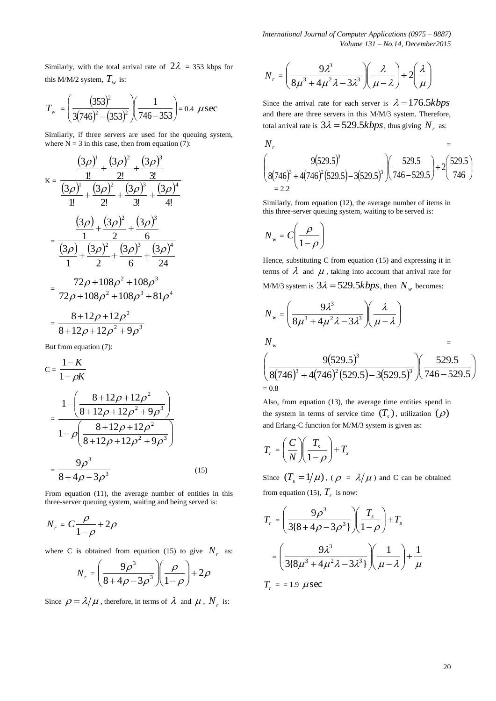*International Journal of Computer Applications (0975 – 8887) Volume 131 – No.14, December2015*

Similarly, with the total arrival rate of  $2\lambda = 353$  kbps for this M/M/2 system,  $T_w$  is:

$$
T_{w} = \left(\frac{(353)^2}{3(746)^2 - (353)^2}\right)\left(\frac{1}{746 - 353}\right) = 0.4 \ \ \mu \sec
$$

Similarly, if three servers are used for the queuing system, where  $N = 3$  in this case, then from equation (7):

$$
K = \frac{\frac{(3\rho)^{1}}{1!} + \frac{(3\rho)^{2}}{2!} + \frac{(3\rho)^{3}}{3!}}{\frac{(3\rho)^{1}}{1!} + \frac{(3\rho)^{2}}{2!} + \frac{(3\rho)^{3}}{3!} + \frac{(3\rho)^{4}}{4!}}
$$

$$
= \frac{\frac{(3\rho)}{1} + \frac{(3\rho)^{2}}{2} + \frac{(3\rho)^{3}}{6}}{\frac{(3\rho)}{1} + \frac{(3\rho)^{2}}{2} + \frac{(3\rho)^{3}}{6} + \frac{(3\rho)^{4}}{24}}
$$

$$
= \frac{72\rho + 108\rho^{2} + 108\rho^{3}}{72\rho + 108\rho^{2} + 108\rho^{3} + 81\rho^{4}}
$$

$$
= \frac{8 + 12\rho + 12\rho^{2}}{8 + 12\rho + 12\rho^{2} + 9\rho^{3}}
$$

But from equation (7):

$$
C = \frac{1-K}{1-\rho K}
$$
  
= 
$$
\frac{1 - \left(\frac{8+12\rho + 12\rho^2}{8+12\rho + 12\rho^2 + 9\rho^3}\right)}{1-\rho\left(\frac{8+12\rho + 12\rho^2}{8+12\rho + 12\rho^2 + 9\rho^3}\right)}
$$
  
= 
$$
\frac{9\rho^3}{8+4\rho - 3\rho^3}
$$
(15)

From equation (11), the average number of entities in this three-server queuing system, waiting and being served is:

$$
N_r = C \frac{\rho}{1 - \rho} + 2\rho
$$

where C is obtained from equation (15) to give  $N_r$  as:

$$
N_r = \left(\frac{9\rho^3}{8 + 4\rho - 3\rho^3}\right)\left(\frac{\rho}{1-\rho}\right) + 2\rho
$$

Since  $\rho = \lambda / \mu$ , therefore, in terms of  $\lambda$  and  $\mu$ ,  $N_r$  is:

$$
N_r = \left(\frac{9\lambda^3}{8\mu^3 + 4\mu^2\lambda - 3\lambda^3}\right)\left(\frac{\lambda}{\mu - \lambda}\right) + 2\left(\frac{\lambda}{\mu}\right)
$$

Since the arrival rate for each server is  $\lambda = 176.5 kbps$ and there are three servers in this M/M/3 system. Therefore, total arrival rate is  $3\lambda = 529.5kbps$ , thus giving  $N_r$  as:

$$
N_r =
$$
\n
$$
\left(\frac{9(529.5)^3}{8(746)^3 + 4(746)^2(529.5) - 3(529.5)^3}\right)\left(\frac{529.5}{746 - 529.5}\right) + 2\left(\frac{529.5}{746}\right)
$$
\n= 2.2

Similarly, from equation (12), the average number of items in this three-server queuing system, waiting to be served is:

$$
N_w = C \left(\frac{\rho}{1-\rho}\right)
$$

Hence, substituting C from equation (15) and expressing it in terms of  $\lambda$  and  $\mu$ , taking into account that arrival rate for M/M/3 system is  $3\lambda = 529.5kbps$ , then  $N_w$  becomes:

$$
N_w = \left(\frac{9\lambda^3}{8\mu^3 + 4\mu^2\lambda - 3\lambda^3}\right)\left(\frac{\lambda}{\mu - \lambda}\right)
$$
  
\n
$$
N_w = \left(\frac{9(529.5)^3}{8(746)^3 + 4(746)^2(529.5) - 3(529.5)^3}\right)\left(\frac{529.5}{746 - 529.5}\right)
$$
  
\n= 0.8

Also, from equation (13), the average time entities spend in the system in terms of service time  $(T_s)$ , utilization  $(\rho)$ and Erlang-C function for M/M/3 system is given as:

$$
T_r = \left(\frac{C}{N}\right)\left(\frac{T_s}{1-\rho}\right) + T_s
$$

Since  $(T_s = 1/\mu)$ ,  $(\rho = \lambda/\mu)$  and C can be obtained from equation (15),  $T_r$  is now:

$$
T_r = \left(\frac{9\rho^3}{3\{8+4\rho-3\rho^3\}}\right)\left(\frac{T_s}{1-\rho}\right) + T_s
$$

$$
= \left(\frac{9\lambda^3}{3\{8\mu^3+4\mu^2\lambda-3\lambda^3\}}\right)\left(\frac{1}{\mu-\lambda}\right) + \frac{1}{\mu}
$$

 $T_r = 1.9 \ \mu \text{sec}$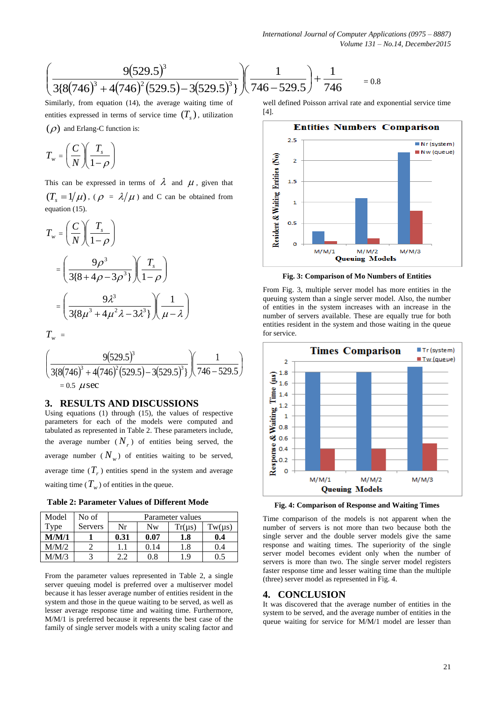$$
\left(\frac{9(529.5)^3}{3\{8(746)^3+4(746)^2(529.5)-3(529.5)^3\}}\right)\left(\frac{1}{746-529.5}\right)+\frac{1}{746} = 0.8
$$

Similarly, from equation (14), the average waiting time of entities expressed in terms of service time  $(T_s)$ , utilization  $(\rho)$  and Erlang-C function is:

$$
T_w = \left(\frac{C}{N}\right)\left(\frac{T_s}{1-\rho}\right)
$$

This can be expressed in terms of  $\lambda$  and  $\mu$ , given that  $(T_s = 1/\mu)$ , ( $\rho = \lambda/\mu$ ) and C can be obtained from equation (15).

$$
T_w = \left(\frac{C}{N}\right)\left(\frac{T_s}{1-\rho}\right)
$$
  
= 
$$
\left(\frac{9\rho^3}{3\{8+4\rho-3\rho^3\}}\right)\left(\frac{T_s}{1-\rho}\right)
$$
  
= 
$$
\left(\frac{9\lambda^3}{3\{8\mu^3+4\mu^2\lambda-3\lambda^3\}}\right)\left(\frac{1}{\mu-\lambda}\right)
$$

 $T_w$  =

$$
\left(\frac{9(529.5)^3}{3\{8(746)^3+4(746)^2(529.5)-3(529.5)^3\}}\right)\left(\frac{1}{746-529.5}\right)
$$
  
= 0.5  $\mu$ sec

#### **3. RESULTS AND DISCUSSIONS**

Using equations (1) through (15), the values of respective parameters for each of the models were computed and tabulated as represented in Table 2. These parameters include, the average number  $(N_r)$  of entities being served, the average number  $(N_w)$  of entities waiting to be served, average time  $(T_r)$  entities spend in the system and average waiting time ( $T_w$ ) of entities in the queue.

**Table 2: Parameter Values of Different Mode**

| Model | No of   | Parameter values |           |        |        |  |  |
|-------|---------|------------------|-----------|--------|--------|--|--|
| Type  | Servers | Nr               | <b>Nw</b> | Tr(us) | Tw(us) |  |  |
| M/M/1 |         | 0.31             | 0.07      | 1.8    | 0.4    |  |  |
| M/M/2 |         |                  | 0.14      | 1.8    | 0.4    |  |  |
| M/M/3 |         | າ າ              | 0.8       | 1.9    | 0.5    |  |  |

From the parameter values represented in Table 2, a single server queuing model is preferred over a multiserver model because it has lesser average number of entities resident in the system and those in the queue waiting to be served, as well as lesser average response time and waiting time. Furthermore, M/M/1 is preferred because it represents the best case of the family of single server models with a unity scaling factor and well defined Poisson arrival rate and exponential service time [4].



**Fig. 3: Comparison of Mo Numbers of Entities** 

From Fig. 3, multiple server model has more entities in the queuing system than a single server model. Also, the number of entities in the system increases with an increase in the number of servers available. These are equally true for both entities resident in the system and those waiting in the queue for service.



**Fig. 4: Comparison of Response and Waiting Times**

Time comparison of the models is not apparent when the number of servers is not more than two because both the single server and the double server models give the same response and waiting times. The superiority of the single server model becomes evident only when the number of servers is more than two. The single server model registers faster response time and lesser waiting time than the multiple (three) server model as represented in Fig. 4.

#### **4. CONCLUSION**

It was discovered that the average number of entities in the system to be served, and the average number of entities in the queue waiting for service for M/M/1 model are lesser than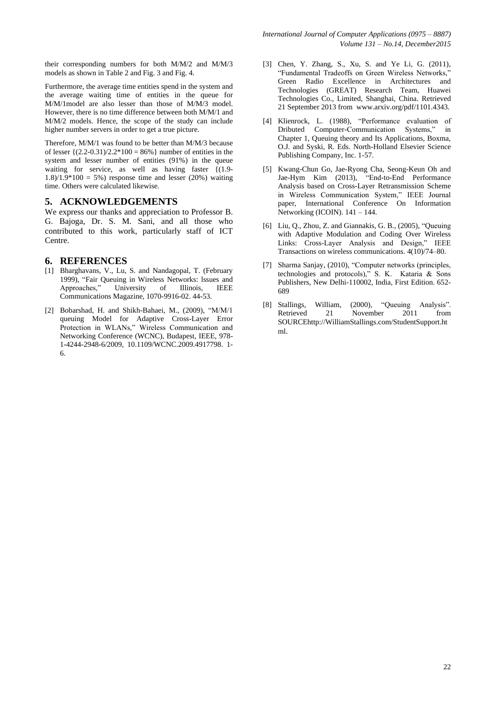their corresponding numbers for both M/M/2 and M/M/3 models as shown in Table 2 and Fig. 3 and Fig. 4.

Furthermore, the average time entities spend in the system and the average waiting time of entities in the queue for M/M/1model are also lesser than those of M/M/3 model. However, there is no time difference between both M/M/1 and M/M/2 models. Hence, the scope of the study can include higher number servers in order to get a true picture.

Therefore, M/M/1 was found to be better than M/M/3 because of lesser  $\{(2.2-0.31)/2.2*100 = 86\% \}$  number of entities in the system and lesser number of entities (91%) in the queue waiting for service, as well as having faster  $\{(1.9 1.8/1.9*100 = 5%$  response time and lesser (20%) waiting time. Others were calculated likewise.

## **5. ACKNOWLEDGEMENTS**

We express our thanks and appreciation to Professor B. G. Bajoga, Dr. S. M. Sani, and all those who contributed to this work, particularly staff of ICT Centre.

## **6. REFERENCES**

- [1] Bharghavans, V., Lu, S. and Nandagopal, T. (February 1999), "Fair Queuing in Wireless Networks: lssues and Approaches," University of Illinois, IEEE Communications Magazine, 1070-9916-02. 44-53.
- [2] Bobarshad, H. and Shikh-Bahaei, M., (2009), "M/M/1 queuing Model for Adaptive Cross-Layer Error Protection in WLANs," Wireless Communication and Networking Conference (WCNC), Budapest, IEEE, 978- 1-4244-2948-6/2009, 10.1109/WCNC.2009.4917798. 1- 6.
- [3] Chen, Y. Zhang, S., Xu, S. and Ye Li, G. (2011), "Fundamental Tradeoffs on Green Wireless Networks," Green Radio Excellence in Architectures and Technologies (GREAT) Research Team, Huawei Technologies Co., Limited, Shanghai, China. Retrieved 21 September 2013 from www.arxiv.org/pdf/1101.4343.
- [4] Klienrock, L. (1988), "Performance evaluation of Dributed Computer-Communication Systems," in Chapter 1, Queuing theory and Its Applications, Boxma, O.J. and Syski, R. Eds. North-Holland Elsevier Science Publishing Company, Inc. 1-57.
- [5] Kwang-Chun Go, Jae-Ryong Cha, Seong-Keun Oh and Jae-Hym Kim (2013), "End-to-End Performance Analysis based on Cross-Layer Retransmission Scheme in Wireless Communication System," IEEE Journal paper, International Conference On Information Networking (ICOIN). 141 – 144.
- [6] Liu, Q., Zhou, Z. and Giannakis, G. B., (2005), "Queuing with Adaptive Modulation and Coding Over Wireless Links: Cross-Layer Analysis and Design," IEEE Transactions on wireless communications. 4(10)/74–80.
- [7] Sharma Sanjay, (2010), "Computer networks (principles, technologies and protocols)," S. K. Kataria & Sons Publishers, New Delhi-110002, India, First Edition. 652- 689
- [8] Stallings, William, (2000), "Queuing Analysis". Retrieved 21 November 2011 from SOURC[Ehttp://WilliamStallings.com/StudentSupport.ht](http://williamstallings.com/StudentSupport.html) [ml](http://williamstallings.com/StudentSupport.html).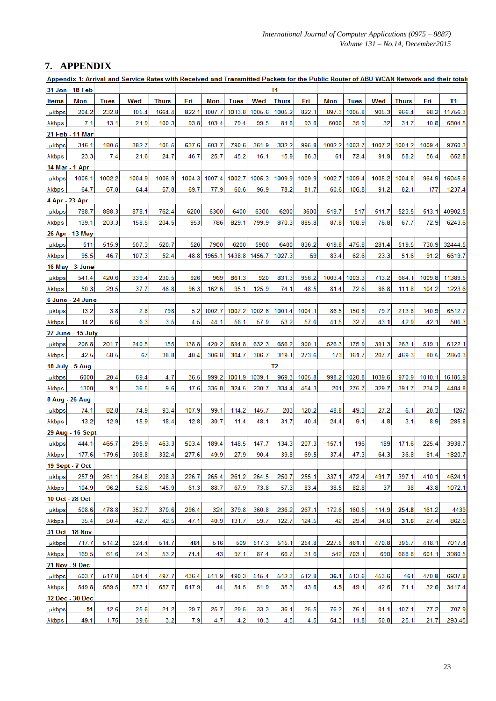# **7. APPENDIX**

| Appendix 1: Arrival and Service Rates with Received and Transmitted Packets for the Public Router of ABU WCAN Network and their total |                   |             |        |              |        |        |             |        |              |        |        |             |        |              |        |         |
|---------------------------------------------------------------------------------------------------------------------------------------|-------------------|-------------|--------|--------------|--------|--------|-------------|--------|--------------|--------|--------|-------------|--------|--------------|--------|---------|
|                                                                                                                                       | 31 Jan - 18 Feb   |             |        |              |        |        |             |        | Τ1           |        |        |             |        |              |        |         |
| <b>Items</b>                                                                                                                          | Mon               | <b>Tues</b> | Wed    | <b>Thurs</b> | Fri    | Mon    | <b>Tues</b> | Wed    | <b>Thurs</b> | Fri    | Mon    | <b>Tues</b> | Wed    | <b>Thurs</b> | Fri    | Τ1      |
| µkbps                                                                                                                                 | 204.2             | 232.8       | 105.4  | 1664.4       | 822.1  | 1007.7 | 1013.8      | 1005.6 | 1005.2       | 822.1  | 897.3  | 1005.8      | 905.3  | 966.4        | 98.2   | 11756.3 |
| <b>Akbps</b>                                                                                                                          | 7.1               | 13.1        | 21.9   | 100.3        | 93.8   | 103.4  | 79.4        | 99.5   | 81.8         | 93.8   | 6000   | 35.9        | 32     | 31.7         | 10.8   | 6804.5  |
|                                                                                                                                       | 21 Feb - 11 Mar   |             |        |              |        |        |             |        |              |        |        |             |        |              |        |         |
| µkbps                                                                                                                                 | 346.1             | 180.5       | 382.7  | 105.5        | 637.6  | 603.7  | 790.6       | 361.9  | 332.2        | 995.8  | 1002.2 | 1003.7      | 1007.2 | 1001.2       | 1009.4 | 9760.3  |
| λkbps                                                                                                                                 | 23.3              | 7.4         | 21.6   | 24.7         | 46.7   | 25.7   | 45.2        | 16.1   | 15.9         | 86.3   | 61     | 72.4        | 91.9   | 58.2         | 56.4   | 652.8   |
|                                                                                                                                       | 14 Mar - 1 Apr    |             |        |              |        |        |             |        |              |        |        |             |        |              |        |         |
| µkbps                                                                                                                                 | 1005.1            | 1002.2      | 1004.9 | 1006.9       | 1004.3 | 1007.4 | 1002.7      | 1005.3 | 1009.9       | 1009.9 | 1002.7 | 1009.4      | 1005.2 | 1004.8       | 964.9  | 15045.6 |
| λkbps                                                                                                                                 | 64.7              | 67.8        | 64.4   | 57.8         | 69.7   | 77.9   | 60.6        | 96.9   | 78.2         | 81.7   | 60.6   | 106.8       | 91.2   | 82.1         | 177    | 1237.4  |
|                                                                                                                                       | 4 Apr - 23 Apr    |             |        |              |        |        |             |        |              |        |        |             |        |              |        |         |
| <b>µkbps</b>                                                                                                                          | 788.7             | 888.3       | 878.1  | 762.4        | 6200   | 6300   | 6400        | 6300   | 6200         | 3600   | 519.7  | 517         | 511.7  | 523.5        | 513.1  | 40902.5 |
| λkbps                                                                                                                                 | 139.1             | 203.3       | 158.5  | 204.5        | 953    | 786    | 829.1       | 799.9  | 870.3        | 885.8  | 87.8   | 108.9       | 76.8   | 67.7         | 72.9   | 6243.6  |
|                                                                                                                                       | 26 Apr - 13 May   |             |        |              |        |        |             |        |              |        |        |             |        |              |        |         |
| µkbps                                                                                                                                 | 511               | 515.9       | 507.3  | 520.7        | 526    | 7900   | 6200        | 5900   | 6400         | 836.2  | 619.8  | 475.8       | 281.4  | 519.5        | 730.9  | 32444.5 |
| λkbps                                                                                                                                 | 95.5              | 46.7        | 107.3  | 52.4         | 48.8   | 1965.1 | 1438.8      | 1456.7 | 1027.3       | 69     | 83.4   | 62.6        | 23.3   | 51.6         | 91.2   | 6619.7  |
|                                                                                                                                       | 16 May - 3 June   |             |        |              |        |        |             |        |              |        |        |             |        |              |        |         |
| µkbps                                                                                                                                 | 541.4             | 420.6       | 339.4  | 230.5        | 926    | 969    | 861.3       | 920    | 831.3        | 956.2  | 1003.4 | 1003.3      | 713.2  | 664.1        | 1009.8 | 11389.5 |
| λkbps                                                                                                                                 | 50.3              | 29.5        | 37.7   | 46.8         | 96.3   | 162.6  | 95.1        | 125.9  | 74.1         | 48.5   | 81.4   | 72.6        | 86.8   | 111.8        | 104.2  | 1223.6  |
|                                                                                                                                       | 6 June - 24 June  |             |        |              |        |        |             |        |              |        |        |             |        |              |        |         |
| <b>µkbps</b>                                                                                                                          | 13.2              | 3.8         | 2.8    | 798          | 5.2    | 1002.7 | 1007.2      | 1002.6 | 1001.4       | 1004.1 | 86.5   | 150.8       | 79.7   | 213.8        | 140.9  | 6512.7  |
| λkbps                                                                                                                                 | 14.2              | 6.6         | 6.3    | 3.5          | 4.5    | 44.1   | 56.1        | 57.9   | 53.2         | 57.6   | 41.5   | 32.7        | 43.1   | 42.9         | 42.1   | 506.3   |
|                                                                                                                                       | 27 June - 15 July |             |        |              |        |        |             |        |              |        |        |             |        |              |        |         |
| µkbps                                                                                                                                 | 206.8             | 201.7       | 240.5  | 155          | 138.8  | 420.2  | 694.8       | 632.3  | 656.2        | 900.1  | 526.3  | 175.9       | 391.3  | 263.1        | 519.1  | 6122.1  |
| λkbps                                                                                                                                 | 42.5              | 58.5        | 67     | 38.8         | 40.4   | 306.8  | 304.7       | 306.7  | 319.1        | 273.6  | 173    | 161.7       | 207.7  | 469.3        | 80.5   | 2850.3  |
|                                                                                                                                       | 18 July - 5 Aug   |             |        |              |        |        |             |        | T2           |        |        |             |        |              |        |         |
| µkbps                                                                                                                                 | 6000              | 20.4        | 69.4   | 4.7          | 36.5   | 999.2  | 1001.9      | 1039.1 | 969.3        | 1005.8 | 998.2  | 1020.8      | 1039.6 | 970.9        | 1010.1 | 16185.9 |
| λkbps                                                                                                                                 | 1300              | 9.1         | 36.5   | 9.6          | 17.6   | 335.8  | 324.5       | 230.7  | 334.4        | 454.3  | 201    | 275.7       | 329.7  | 391.7        | 234.2  | 4484.8  |
|                                                                                                                                       | 8 Aug - 26 Aug    |             |        |              |        |        |             |        |              |        |        |             |        |              |        |         |
| <b>µkbps</b>                                                                                                                          | 74.1              | 82.8        | 74.9   | 93.4         | 107.9  | 99.1   | 114.2       | 145.7  | 203          | 120.2  | 48.8   | 49.3        | 27.2   | 6.1          | 20.3   | 1267    |
| λkbps                                                                                                                                 | 13.2              | 12.9        | 15.9   | 18.4         | 12.8   | 30.7   | 11.4        | 48.1   | 31.7         | 40.4   | 24.4   | 9.1         | 4.8    | 3.1          | 8.9    | 285.8   |
|                                                                                                                                       | 29 Aug - 16 Sept  |             |        |              |        |        |             |        |              |        |        |             |        |              |        |         |
| µkbps                                                                                                                                 | 444.1             | 465.7       | 295.9  | 463.3        | 503.4  | 189.4  | 148.5       | 147.7  | 134.3        | 207.3  | 157.1  | 196         | 189    | 171.6        | 225.4  | 3938.7  |
| λkbps                                                                                                                                 | 177.6             | 179.6       | 308.8  | 332.4        | 277.6  | 49.9   | 27.9        | 90.4   | 39.8         | 69.5   | 37.4   | 47.3        | 64.3   | 36.8         | 81.4   | 1820.7  |
|                                                                                                                                       | 19 Sept - 7 Oct   |             |        |              |        |        |             |        |              |        |        |             |        |              |        |         |
| µkbps                                                                                                                                 | 257.9             | 261.1       | 264.8  | 208.3        | 226.7  | 265.4  | 261.2       | 264.5  | 250.7        | 255.1  | 337.1  | 472.4       | 491.7  | 397.1        | 410.1  | 4624.1  |
| λkbps                                                                                                                                 | 104.9             | 96.2        | 52.6   | 145.9        | 61.3   | 88.7   | 67.9        | 73.8   | 57.3         | 83.4   | 38.5   | 82.8        | 37     | 38           | 43.8   | 1072.1  |
|                                                                                                                                       | 10 Oct - 28 Oct   |             |        |              |        |        |             |        |              |        |        |             |        |              |        |         |
| µkbps                                                                                                                                 | 508.6             | 478.8       | 352.7  | 370.6        | 296.4  | 324    | 379.8       | 360.8  | 236.2        | 267.1  | 172.6  | 160.5       | 114.9  | 254.8        | 161.2  | 4439    |
| λkbps                                                                                                                                 | 35.4              | 50.4        | 42.7   | 42.5         | 47.1   | 40.9   | 131.7       | 59.7   | 122.7        | 124.5  | 42     | 29.4        | 34.6   | 31.6         | 27.4   | 862.6   |
|                                                                                                                                       | 31 Oct - 18 Nov   |             |        |              |        |        |             |        |              |        |        |             |        |              |        |         |
| µkbps                                                                                                                                 | 717.7             | 514.2       | 524.4  | 514.7        | 461    | 516    | 509         | 517.3  | 515.1        | 254.8  | 227.5  | 461.1       | 470.8  | 395.7        | 418.1  | 7017.4  |
| λkbps                                                                                                                                 | 169.5             | 61.6        | 74.3   | 53.2         | 71.1   | 43     | 97.1        | 87.4   | 66.7         | 31.6   | 542    | 703.1       | 690    | 688.8        | 601.1  | 3980.5  |
| 21 Nov - 9 Dec                                                                                                                        |                   |             |        |              |        |        |             |        |              |        |        |             |        |              |        |         |
| µkbps                                                                                                                                 | 503.7             | 517.8       | 504.4  | 497.7        | 436.4  | 511.9  | 490.3       | 515.4  | 512.3        | 512.8  | 36.1   | 513.6       | 453.6  | 461          | 470.8  | 6937.8  |
| λkbps                                                                                                                                 | 549.8             | 589.5       | 573.1  | 657.7        | 617.9  | 44     | 54.5        | 51.9   | 35.3         | 43.8   | 4.5    | 49.1        | 42.6   | 71.1         | 32.6   | 3417.4  |
|                                                                                                                                       | 12 Dec - 30 Dec   |             |        |              |        |        |             |        |              |        |        |             |        |              |        |         |
| <b>µkbps</b>                                                                                                                          | 51                | 12.6        | 25.6   | 21.2         | 29.7   | 25.7   | 29.5        | 33.3   | 36.1         | 25.5   | 76.2   | 76.1        | 81.1   | 107.1        | 77.2   | 707.9   |
| λkbps                                                                                                                                 | 49.1              | 1.75        | 39.6   | 3.2          | 7.9    | 4.7    | 4.2         | 10.3   | 4.5          | 4.5    | 54.3   | 11.8        | 50.8   | 25.1         | 21.7   | 293.45  |